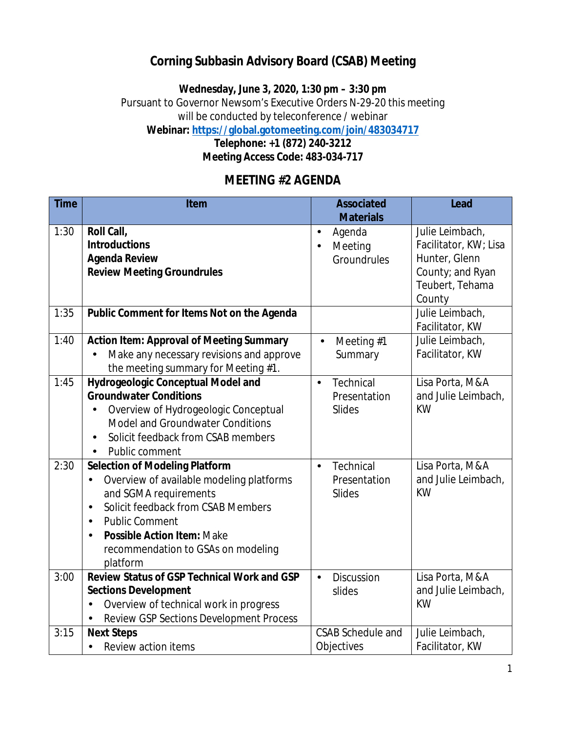## **Corning Subbasin Advisory Board (CSAB) Meeting**

**Wednesday, June 3, 2020, 1:30 pm – 3:30 pm**

Pursuant to Governor Newsom's Executive Orders N-29-20 this meeting

will be conducted by teleconference / webinar

**Webinar:<https://global.gotomeeting.com/join/483034717>**

**Telephone: +1 (872) 240-3212 Meeting Access Code: 483-034-717**

## **MEETING #2 AGENDA**

| <b>Time</b> | Item                                                 | <b>Associated</b>           | Lead                  |
|-------------|------------------------------------------------------|-----------------------------|-----------------------|
|             |                                                      | <b>Materials</b>            |                       |
| 1:30        | Roll Call,                                           | Agenda                      | Julie Leimbach,       |
|             | <b>Introductions</b>                                 | Meeting<br>j,               | Facilitator, KW; Lisa |
|             | <b>Agenda Review</b>                                 | Groundrules                 | Hunter, Glenn         |
|             | <b>Review Meeting Groundrules</b>                    |                             | County; and Ryan      |
|             |                                                      |                             | Teubert, Tehama       |
|             |                                                      |                             | County                |
| 1:35        | Public Comment for Items Not on the Agenda           |                             | Julie Leimbach,       |
|             |                                                      |                             | Facilitator, KW       |
| 1:40        | <b>Action Item: Approval of Meeting Summary</b>      | Meeting #1                  | Julie Leimbach,       |
|             | Make any necessary revisions and approve             | Summary                     | Facilitator, KW       |
|             | the meeting summary for Meeting #1.                  |                             |                       |
| 1:45        | Hydrogeologic Conceptual Model and                   | Technical<br>ä,             | Lisa Porta, M&A       |
|             | <b>Groundwater Conditions</b>                        | Presentation                | and Julie Leimbach,   |
|             | Overview of Hydrogeologic Conceptual                 | <b>Slides</b>               | <b>KW</b>             |
|             | Model and Groundwater Conditions                     |                             |                       |
|             | Solicit feedback from CSAB members<br>$\blacksquare$ |                             |                       |
|             | Public comment                                       |                             |                       |
| 2:30        | <b>Selection of Modeling Platform</b>                | Technical<br>$\blacksquare$ | Lisa Porta, M&A       |
|             | Overview of available modeling platforms<br>ä,       | Presentation                | and Julie Leimbach,   |
|             | and SGMA requirements                                | Slides                      | <b>KW</b>             |
|             | Solicit feedback from CSAB Members<br>$\blacksquare$ |                             |                       |
|             | <b>Public Comment</b><br>$\blacksquare$              |                             |                       |
|             | <b>Possible Action Item: Make</b><br>ä,              |                             |                       |
|             | recommendation to GSAs on modeling                   |                             |                       |
|             | platform                                             |                             |                       |
| 3:00        | Review Status of GSP Technical Work and GSP          | <b>Discussion</b><br>ä,     | Lisa Porta, M&A       |
|             | <b>Sections Development</b>                          | slides                      | and Julie Leimbach,   |
|             | Overview of technical work in progress               |                             | <b>KW</b>             |
|             | <b>Review GSP Sections Development Process</b>       |                             |                       |
| 3:15        | <b>Next Steps</b>                                    | <b>CSAB Schedule and</b>    | Julie Leimbach,       |
|             | Review action items                                  | Objectives                  | Facilitator, KW       |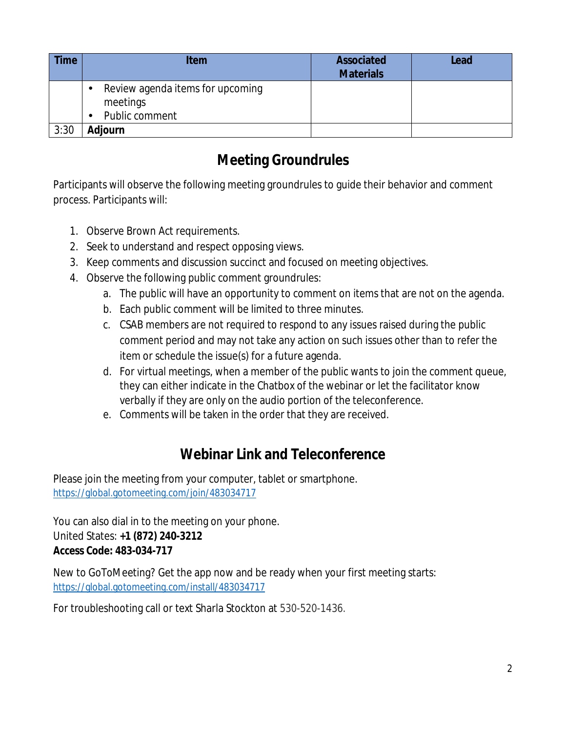| <b>Time</b> | <b>Item</b>                                                                      | Associated<br><b>Materials</b> | Lead |
|-------------|----------------------------------------------------------------------------------|--------------------------------|------|
|             | Review agenda items for upcoming<br>meetings<br>Public comment<br>$\blacksquare$ |                                |      |
| 3:30        | Adjourn                                                                          |                                |      |

## **Meeting Groundrules**

Participants will observe the following meeting groundrules to guide their behavior and comment process. Participants will:

- 1. Observe Brown Act requirements.
- 2. Seek to understand and respect opposing views.
- 3. Keep comments and discussion succinct and focused on meeting objectives.
- 4. Observe the following public comment groundrules:
	- a. The public will have an opportunity to comment on items that are not on the agenda.
	- b. Each public comment will be limited to three minutes.
	- c. CSAB members are not required to respond to any issues raised during the public comment period and may not take any action on such issues other than to refer the item or schedule the issue(s) for a future agenda.
	- d. For virtual meetings, when a member of the public wants to join the comment queue, they can either indicate in the Chatbox of the webinar or let the facilitator know verbally if they are only on the audio portion of the teleconference.
	- e. Comments will be taken in the order that they are received.

# **Webinar Link and Teleconference**

Please join the meeting from your computer, tablet or smartphone. <https://global.gotomeeting.com/join/483034717>

You can also dial in to the meeting on your phone. United States: **+1 (872) 240-3212 Access Code: 483-034-717**

New to GoToMeeting? Get the app now and be ready when your first meeting starts: <https://global.gotomeeting.com/install/483034717>

For troubleshooting call or text Sharla Stockton at 530-520-1436.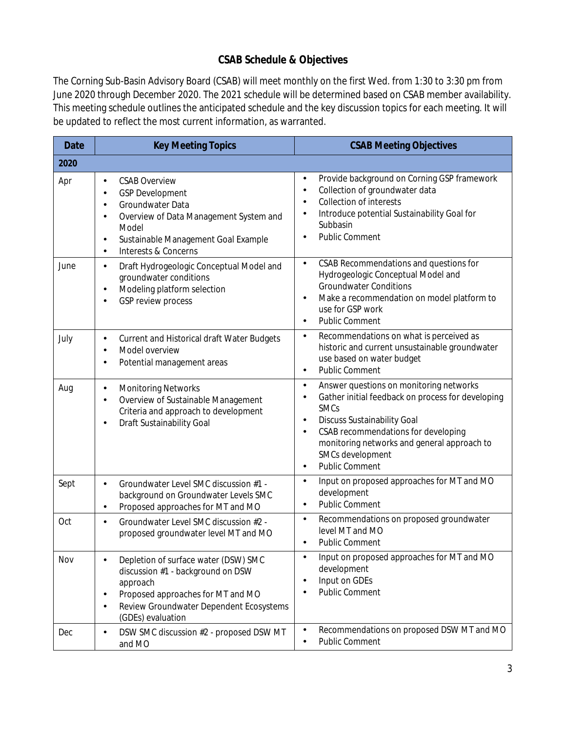#### **CSAB Schedule & Objectives**

The Corning Sub-Basin Advisory Board (CSAB) will meet monthly on the first Wed. from 1:30 to 3:30 pm from June 2020 through December 2020. The 2021 schedule will be determined based on CSAB member availability. This meeting schedule outlines the anticipated schedule and the key discussion topics for each meeting. It will be updated to reflect the most current information, as warranted.

| <b>Date</b> | <b>Key Meeting Topics</b>                                                                                                                                                                                                                                                                 | <b>CSAB Meeting Objectives</b>                                                                                                                                                                                                                                                                         |  |  |  |
|-------------|-------------------------------------------------------------------------------------------------------------------------------------------------------------------------------------------------------------------------------------------------------------------------------------------|--------------------------------------------------------------------------------------------------------------------------------------------------------------------------------------------------------------------------------------------------------------------------------------------------------|--|--|--|
| 2020        |                                                                                                                                                                                                                                                                                           |                                                                                                                                                                                                                                                                                                        |  |  |  |
| Apr         | <b>CSAB Overview</b><br>$\blacksquare$<br><b>GSP Development</b><br>$\blacksquare$<br>Groundwater Data<br>$\blacksquare$<br>Overview of Data Management System and<br>$\blacksquare$<br>Model<br>Sustainable Management Goal Example<br>$\cdot$<br>Interests & Concerns<br>$\blacksquare$ | Provide background on Corning GSP framework<br>Collection of groundwater data<br><b>Collection of interests</b><br>Introduce potential Sustainability Goal for<br>Subbasin<br><b>Public Comment</b>                                                                                                    |  |  |  |
| June        | Draft Hydrogeologic Conceptual Model and<br>$\blacksquare$<br>groundwater conditions<br>Modeling platform selection<br>$\blacksquare$<br><b>GSP review process</b>                                                                                                                        | CSAB Recommendations and questions for<br>Hydrogeologic Conceptual Model and<br><b>Groundwater Conditions</b><br>Make a recommendation on model platform to<br>×,<br>use for GSP work<br><b>Public Comment</b><br>ä.                                                                                   |  |  |  |
| July        | Current and Historical draft Water Budgets<br>$\cdot$<br>Model overview<br>$\overline{a}$<br>Potential management areas                                                                                                                                                                   | Recommendations on what is perceived as<br>٠.<br>historic and current unsustainable groundwater<br>use based on water budget<br><b>Public Comment</b><br>ä,                                                                                                                                            |  |  |  |
| Aug         | <b>Monitoring Networks</b><br>×<br>Overview of Sustainable Management<br>$\blacksquare$<br>Criteria and approach to development<br>Draft Sustainability Goal                                                                                                                              | Answer questions on monitoring networks<br>Gather initial feedback on process for developing<br><b>SMCs</b><br><b>Discuss Sustainability Goal</b><br>$\blacksquare$<br>CSAB recommendations for developing<br>monitoring networks and general approach to<br>SMCs development<br><b>Public Comment</b> |  |  |  |
| Sept        | Groundwater Level SMC discussion #1 -<br>background on Groundwater Levels SMC<br>Proposed approaches for MT and MO<br>$\blacksquare$                                                                                                                                                      | Input on proposed approaches for MT and MO<br>٠<br>development<br><b>Public Comment</b>                                                                                                                                                                                                                |  |  |  |
| Oct         | Groundwater Level SMC discussion #2 -<br>ä,<br>proposed groundwater level MT and MO                                                                                                                                                                                                       | Recommendations on proposed groundwater<br>level MT and MO<br><b>Public Comment</b>                                                                                                                                                                                                                    |  |  |  |
| Nov         | Depletion of surface water (DSW) SMC<br>discussion #1 - background on DSW<br>approach<br>Proposed approaches for MT and MO<br>$\blacksquare$<br>Review Groundwater Dependent Ecosystems<br>$\blacksquare$<br>(GDEs) evaluation                                                            | Input on proposed approaches for MT and MO<br>development<br>Input on GDEs<br><b>Public Comment</b><br>$\blacksquare$                                                                                                                                                                                  |  |  |  |
| Dec         | DSW SMC discussion #2 - proposed DSW MT<br>and MO                                                                                                                                                                                                                                         | Recommendations on proposed DSW MT and MO<br><b>Public Comment</b>                                                                                                                                                                                                                                     |  |  |  |